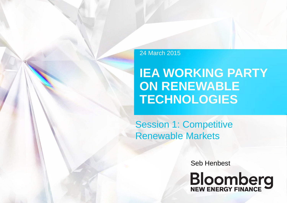## 24 March 2015

# **IEA WORKING PARTY ON RENEWABLE TECHNOLOGIES**

Session 1: Competitive Renewable Markets

Seb Henbest

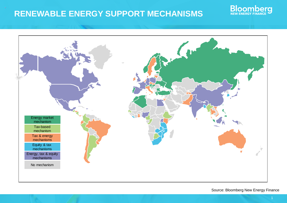# **RENEWABLE ENERGY SUPPORT MECHANISMS**



Source: Bloomberg New Energy Finance

Bloomberg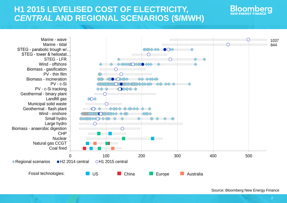## **H1 2015 LEVELISED COST OF ELECTRICITY,** *CENTRAL* **AND REGIONAL SCENARIOS (\$/MWH)**



**Bloombera**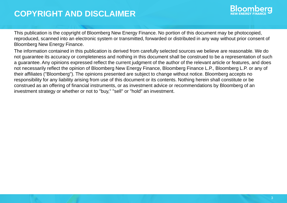## **COPYRIGHT AND DISCLAIMER**



This publication is the copyright of Bloomberg New Energy Finance. No portion of this document may be photocopied, reproduced, scanned into an electronic system or transmitted, forwarded or distributed in any way without prior consent of Bloomberg New Energy Finance.

The information contained in this publication is derived from carefully selected sources we believe are reasonable. We do not guarantee its accuracy or completeness and nothing in this document shall be construed to be a representation of such a guarantee. Any opinions expressed reflect the current judgment of the author of the relevant article or features, and does not necessarily reflect the opinion of Bloomberg New Energy Finance, Bloomberg Finance L.P., Bloomberg L.P. or any of their affiliates ("Bloomberg"). The opinions presented are subject to change without notice. Bloomberg accepts no responsibility for any liability arising from use of this document or its contents. Nothing herein shall constitute or be construed as an offering of financial instruments, or as investment advice or recommendations by Bloomberg of an investment strategy or whether or not to "buy," "sell" or "hold" an investment.